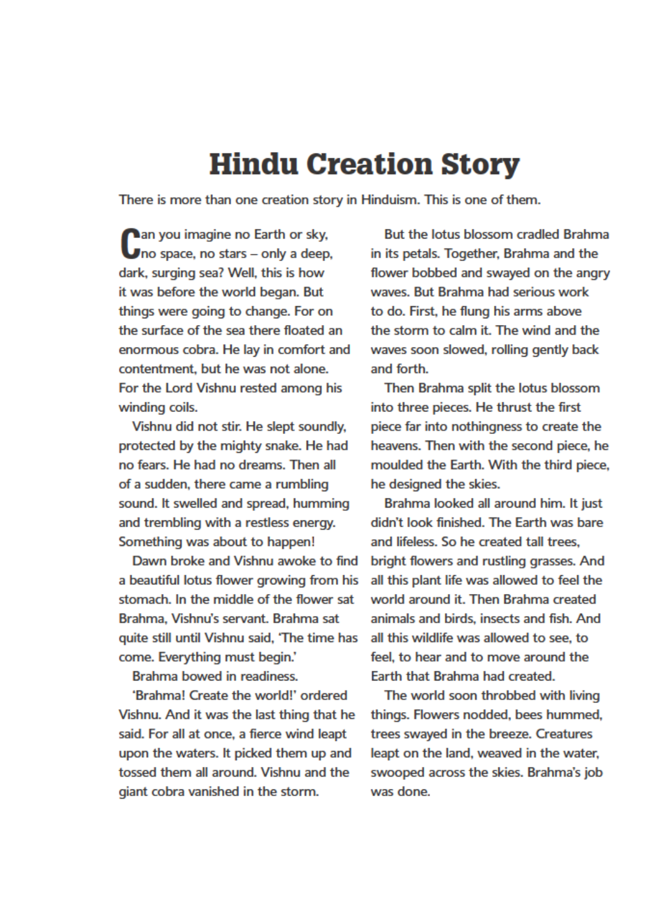## **Hindu Creation Story**

There is more than one creation story in Hinduism. This is one of them.

an you imagine no Earth or sky, no space, no stars - only a deep, dark, surging sea? Well, this is how it was before the world began. But things were going to change. For on the surface of the sea there floated an enormous cobra. He lay in comfort and contentment, but he was not alone. For the Lord Vishnu rested among his winding coils.

Vishnu did not stir. He slept soundly, protected by the mighty snake. He had no fears. He had no dreams. Then all of a sudden, there came a rumbling sound. It swelled and spread, humming and trembling with a restless energy. Something was about to happen!

Dawn broke and Vishnu awoke to find a beautiful lotus flower growing from his stomach. In the middle of the flower sat Brahma, Vishnu's servant, Brahma sat quite still until Vishnu said, 'The time has come. Everything must begin.'

Brahma bowed in readiness.

'Brahma! Create the world!' ordered Vishnu. And it was the last thing that he said. For all at once, a fierce wind leapt upon the waters. It picked them up and tossed them all around. Vishnu and the giant cobra vanished in the storm.

But the lotus blossom cradled Brahma in its petals. Together, Brahma and the flower bobbed and swayed on the angry waves. But Brahma had serious work to do. First, he flung his arms above the storm to calm it. The wind and the waves soon slowed, rolling gently back and forth.

Then Brahma split the lotus blossom into three pieces. He thrust the first piece far into nothingness to create the heavens. Then with the second piece, he moulded the Earth. With the third piece, he designed the skies.

Brahma looked all around him. It just didn't look finished. The Earth was bare and lifeless. So he created tall trees. bright flowers and rustling grasses. And all this plant life was allowed to feel the world around it. Then Brahma created animals and birds, insects and fish. And all this wildlife was allowed to see, to feel, to hear and to move around the Earth that Brahma had created.

The world soon throbbed with living things. Flowers nodded, bees hummed, trees swayed in the breeze. Creatures leapt on the land, weaved in the water, swooped across the skies. Brahma's job was done.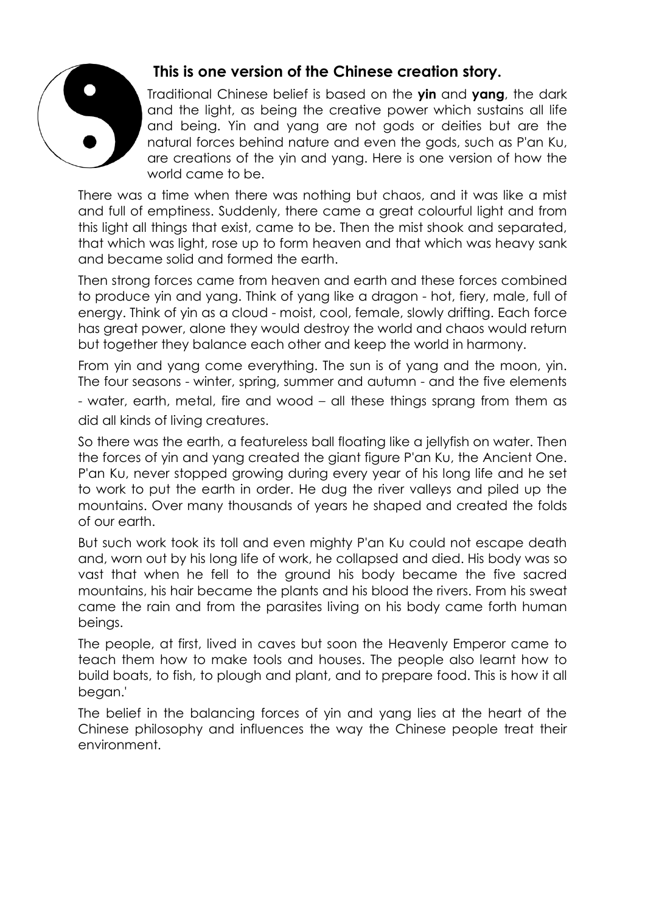

#### **This is one version of the Chinese creation story.**

Traditional Chinese belief is based on the **yin** and **yang**, the dark and the light, as being the creative power which sustains all life and being. Yin and yang are not gods or deities but are the natural forces behind nature and even the gods, such as P'an Ku, are creations of the yin and yang. Here is one version of how the world came to be.

There was a time when there was nothing but chaos, and it was like a mist and full of emptiness. Suddenly, there came a great colourful light and from this light all things that exist, came to be. Then the mist shook and separated, that which was light, rose up to form heaven and that which was heavy sank and became solid and formed the earth.

Then strong forces came from heaven and earth and these forces combined to produce yin and yang. Think of yang like a dragon - hot, fiery, male, full of energy. Think of yin as a cloud - moist, cool, female, slowly drifting. Each force has great power, alone they would destroy the world and chaos would return but together they balance each other and keep the world in harmony.

From yin and yang come everything. The sun is of yang and the moon, yin. The four seasons - winter, spring, summer and autumn - and the five elements - water, earth, metal, fire and wood – all these things sprang from them as did all kinds of living creatures.

So there was the earth, a featureless ball floating like a jellyfish on water. Then the forces of yin and yang created the giant figure P'an Ku, the Ancient One. P'an Ku, never stopped growing during every year of his long life and he set to work to put the earth in order. He dug the river valleys and piled up the mountains. Over many thousands of years he shaped and created the folds of our earth.

But such work took its toll and even mighty P'an Ku could not escape death and, worn out by his long life of work, he collapsed and died. His body was so vast that when he fell to the ground his body became the five sacred mountains, his hair became the plants and his blood the rivers. From his sweat came the rain and from the parasites living on his body came forth human beings.

The people, at first, lived in caves but soon the Heavenly Emperor came to teach them how to make tools and houses. The people also learnt how to build boats, to fish, to plough and plant, and to prepare food. This is how it all began.'

The belief in the balancing forces of yin and yang lies at the heart of the Chinese philosophy and influences the way the Chinese people treat their environment.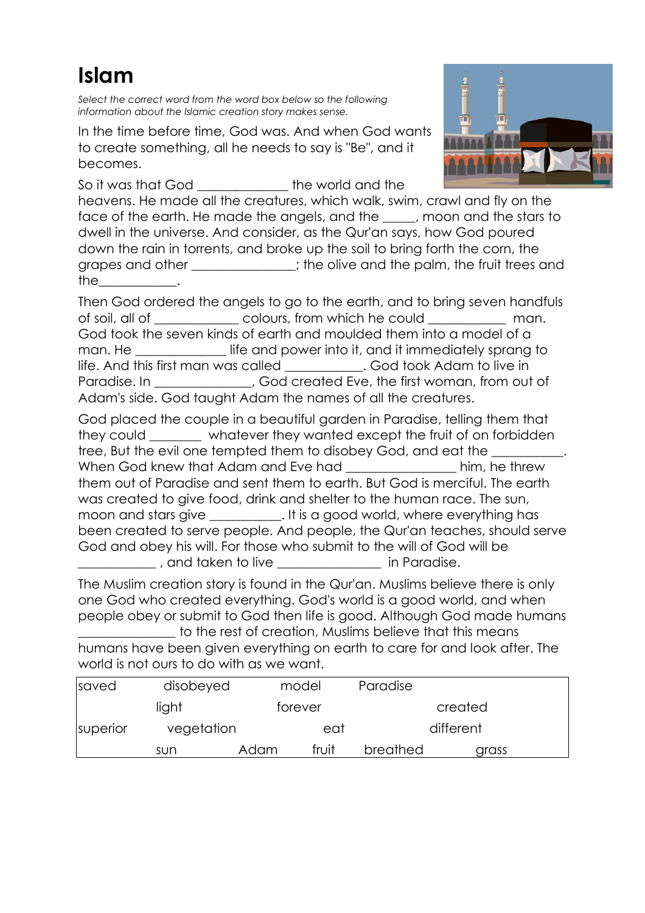## **Islam**

*Select the correct word from the word box below so the following information about the Islamic creation story makes sense.*

In the time before time, God was. And when God wants to create something, all he needs to say is "Be", and it becomes.

So it was that God **the world and the** 



heavens. He made all the creatures, which walk, swim, crawl and fly on the face of the earth. He made the angels, and the \_\_\_\_\_, moon and the stars to dwell in the universe. And consider, as the Qur'an says, how God poured down the rain in torrents, and broke up the soil to bring forth the corn, the grapes and other \_\_\_\_\_\_\_\_\_\_\_\_; the olive and the palm, the fruit trees and  $the$   $\qquad$   $\qquad$   $\qquad$ 

Then God ordered the angels to go to the earth, and to bring seven handfuls of soil, all of  $\Box$  colours, from which he could man. God took the seven kinds of earth and moulded them into a model of a man. He **Example 20** life and power into it, and it immediately sprang to life. And this first man was called \_\_\_\_\_\_\_\_\_\_\_\_. God took Adam to live in Paradise. In \_\_\_\_\_\_\_\_\_\_\_\_, God created Eve, the first woman, from out of Adam's side. God taught Adam the names of all the creatures.

God placed the couple in a beautiful garden in Paradise, telling them that they could whatever they wanted except the fruit of on forbidden tree, But the evil one tempted them to disobey God, and eat the When God knew that Adam and Eve had **Example 20** him, he threw them out of Paradise and sent them to earth. But God is merciful. The earth was created to give food, drink and shelter to the human race. The sun, moon and stars give \_\_\_\_\_\_\_\_\_\_\_. It is a good world, where everything has been created to serve people. And people, the Qur'an teaches, should serve God and obey his will. For those who submit to the will of God will be  $\frac{1}{2}$ , and taken to live  $\frac{1}{2}$  in Paradise.

The Muslim creation story is found in the Qur'an. Muslims believe there is only one God who created everything. God's world is a good world, and when people obey or submit to God then life is good. Although God made humans

\_\_\_\_\_\_\_\_\_\_\_\_\_\_\_ to the rest of creation, Muslims believe that this means humans have been given everything on earth to care for and look after. The world is not ours to do with as we want.

| saved                           | disobeyed |      | model            | Paradise |         |  |
|---------------------------------|-----------|------|------------------|----------|---------|--|
| light<br>vegetation<br>superior |           |      | torever          |          | created |  |
|                                 |           |      | different<br>eat |          |         |  |
|                                 | sun       | Adam | fruit            | breathed | arass   |  |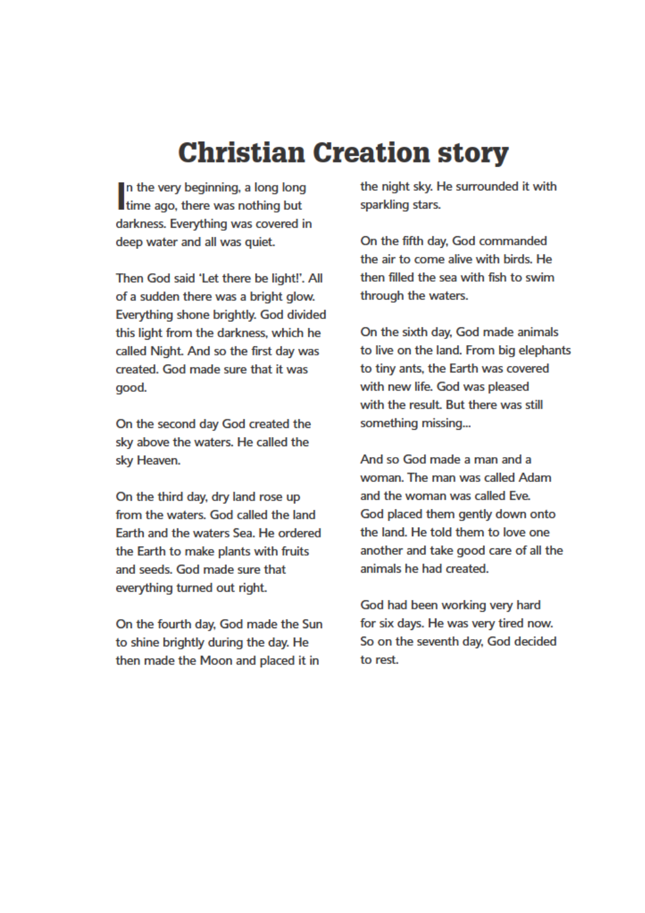# **Christian Creation story**

In the very beginning, a long long time ago, there was nothing but darkness. Everything was covered in deep water and all was quiet.

Then God said 'Let there be light!'. All of a sudden there was a bright glow. Everything shone brightly. God divided this light from the darkness, which he called Night. And so the first day was created. God made sure that it was good.

On the second day God created the sky above the waters. He called the sky Heaven.

On the third day, dry land rose up from the waters. God called the land Earth and the waters Sea. He ordered the Earth to make plants with fruits and seeds. God made sure that everything turned out right.

On the fourth day, God made the Sun to shine brightly during the day. He then made the Moon and placed it in

the night sky. He surrounded it with sparkling stars.

On the fifth day, God commanded the air to come alive with birds. He then filled the sea with fish to swim through the waters.

On the sixth day, God made animals to live on the land. From big elephants to tiny ants, the Earth was covered with new life. God was pleased with the result. But there was still something missing...

And so God made a man and a woman. The man was called Adam and the woman was called Eve. God placed them gently down onto the land. He told them to love one another and take good care of all the animals he had created.

God had been working very hard for six days. He was very tired now. So on the seventh day, God decided to rest.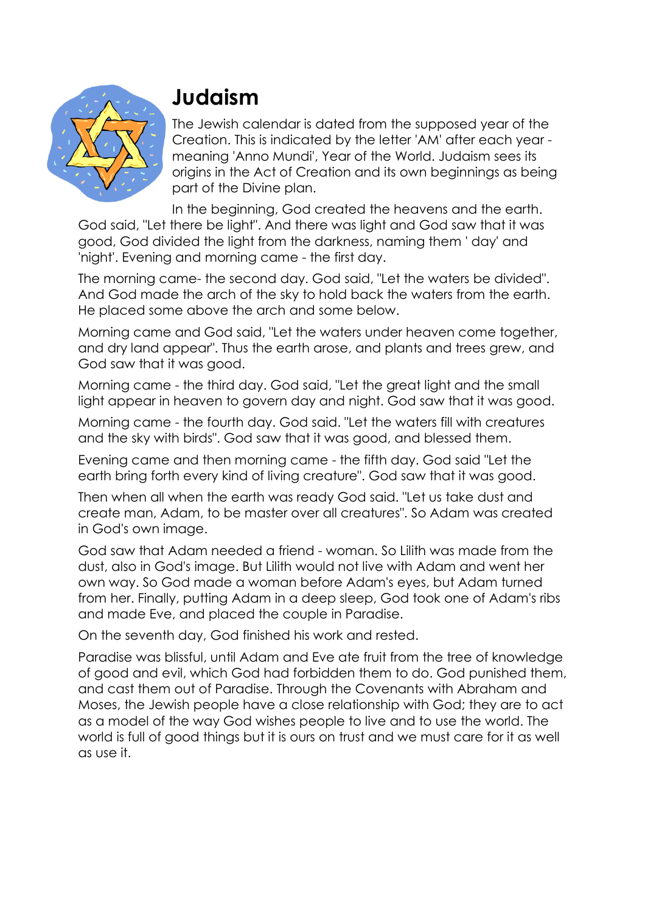

## **Judaism**

The Jewish calendar is dated from the supposed year of the Creation. This is indicated by the letter 'AM' after each year meaning 'Anno Mundi', Year of the World. Judaism sees its origins in the Act of Creation and its own beginnings as being part of the Divine plan.

In the beginning, God created the heavens and the earth. God said, "Let there be light". And there was light and God saw that it was good, God divided the light from the darkness, naming them ' day' and 'night'. Evening and morning came - the first day.

The morning came- the second day. God said, "Let the waters be divided". And God made the arch of the sky to hold back the waters from the earth. He placed some above the arch and some below.

Morning came and God said, "Let the waters under heaven come together, and dry land appear". Thus the earth arose, and plants and trees grew, and God saw that it was good.

Morning came - the third day. God said, "Let the great light and the small light appear in heaven to govern day and night. God saw that it was good.

Morning came - the fourth day. God said. "Let the waters fill with creatures and the sky with birds". God saw that it was good, and blessed them.

Evening came and then morning came - the fifth day. God said "Let the earth bring forth every kind of living creature". God saw that it was good.

Then when all when the earth was ready God said. "Let us take dust and create man, Adam, to be master over all creatures". So Adam was created in God's own image.

God saw that Adam needed a friend - woman. So Lilith was made from the dust, also in God's image. But Lilith would not live with Adam and went her own way. So God made a woman before Adam's eyes, but Adam turned from her. Finally, putting Adam in a deep sleep, God took one of Adam's ribs and made Eve, and placed the couple in Paradise.

On the seventh day, God finished his work and rested.

Paradise was blissful, until Adam and Eve ate fruit from the tree of knowledge of good and evil, which God had forbidden them to do. God punished them, and cast them out of Paradise. Through the Covenants with Abraham and Moses, the Jewish people have a close relationship with God; they are to act as a model of the way God wishes people to live and to use the world. The world is full of good things but it is ours on trust and we must care for it as well as use it.